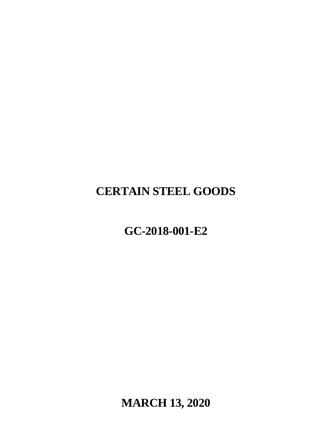# **CERTAIN STEEL GOODS**

## **GC-2018-001-E2**

**MARCH 13, 2020**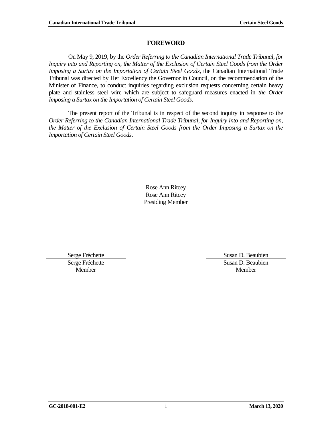#### **FOREWORD**

<span id="page-2-0"></span>On May 9, 2019, by the *Order Referring to the Canadian International Trade Tribunal, for Inquiry into and Reporting on, the Matter of the Exclusion of Certain Steel Goods from the Order Imposing a Surtax on the Importation of Certain Steel Goods*, the Canadian International Trade Tribunal was directed by Her Excellency the Governor in Council, on the recommendation of the Minister of Finance, to conduct inquiries regarding exclusion requests concerning certain heavy plate and stainless steel wire which are subject to safeguard measures enacted in *the Order Imposing a Surtax on the Importation of Certain Steel Goods*.

The present report of the Tribunal is in respect of the second inquiry in response to the *Order Referring to the Canadian International Trade Tribunal, for Inquiry into and Reporting on, the Matter of the Exclusion of Certain Steel Goods from the Order Imposing a Surtax on the Importation of Certain Steel Goods*.

> Rose Ann Ritcey Rose Ann Ritcey Presiding Member

Serge Fréchette Member

Serge Fréchette Susan D. Beaubien Susan D. Beaubien Member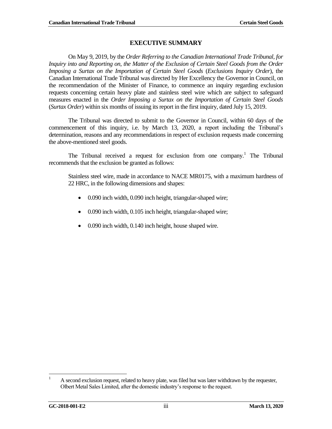#### **EXECUTIVE SUMMARY**

<span id="page-4-0"></span>On May 9, 2019, by the *Order Referring to the Canadian International Trade Tribunal, for Inquiry into and Reporting on, the Matter of the Exclusion of Certain Steel Goods from the Order Imposing a Surtax on the Importation of Certain Steel Goods* (*Exclusions Inquiry Order*), the Canadian International Trade Tribunal was directed by Her Excellency the Governor in Council, on the recommendation of the Minister of Finance, to commence an inquiry regarding exclusion requests concerning certain heavy plate and stainless steel wire which are subject to safeguard measures enacted in the *Order Imposing a Surtax on the Importation of Certain Steel Goods* (*Surtax Order*) within six months of issuing its report in the first inquiry, dated July 15, 2019.

The Tribunal was directed to submit to the Governor in Council, within 60 days of the commencement of this inquiry, i.e. by March 13, 2020, a report including the Tribunal's determination, reasons and any recommendations in respect of exclusion requests made concerning the above-mentioned steel goods.

The Tribunal received a request for exclusion from one company.<sup>1</sup> The Tribunal recommends that the exclusion be granted as follows:

Stainless steel wire, made in accordance to NACE MR0175, with a maximum hardness of 22 HRC, in the following dimensions and shapes:

- 0.090 inch width, 0.090 inch height, triangular-shaped wire;
- 0.090 inch width, 0.105 inch height, triangular-shaped wire;
- 0.090 inch width, 0.140 inch height, house shaped wire.

 $\mathbf{1}$ <sup>1</sup> A second exclusion request, related to heavy plate, was filed but was later withdrawn by the requester, Olbert Metal Sales Limited, after the domestic industry's response to the request.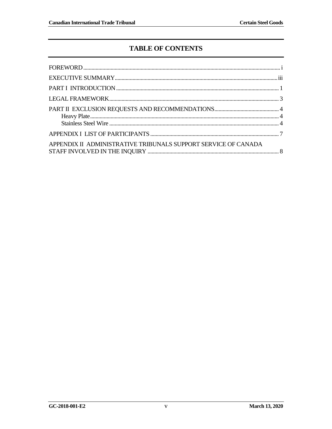## **TABLE OF CONTENTS**

| APPENDIX II ADMINISTRATIVE TRIBUNALS SUPPORT SERVICE OF CANADA |  |
|----------------------------------------------------------------|--|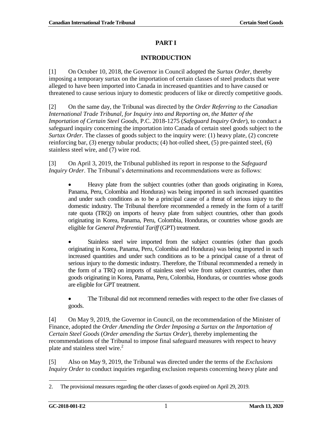#### **PART I**

#### **INTRODUCTION**

<span id="page-8-0"></span>[1] On October 10, 2018, the Governor in Council adopted the *Surtax Order*, thereby imposing a temporary surtax on the importation of certain classes of steel products that were alleged to have been imported into Canada in increased quantities and to have caused or threatened to cause serious injury to domestic producers of like or directly competitive goods.

[2] On the same day, the Tribunal was directed by the *Order Referring to the Canadian International Trade Tribunal, for Inquiry into and Reporting on, the Matter of the Importation of Certain Steel Goods*, P.C. 2018-1275 (*Safeguard Inquiry Order*), to conduct a safeguard inquiry concerning the importation into Canada of certain steel goods subject to the *Surtax Order*. The classes of goods subject to the inquiry were: (1) heavy plate, (2) concrete reinforcing bar, (3) energy tubular products; (4) hot-rolled sheet, (5) pre-painted steel, (6) stainless steel wire, and (7) wire rod.

[3] On April 3, 2019, the Tribunal published its report in response to the *Safeguard Inquiry Order*. The Tribunal's determinations and recommendations were as follows:

 Heavy plate from the subject countries (other than goods originating in Korea, Panama, Peru, Colombia and Honduras) was being imported in such increased quantities and under such conditions as to be a principal cause of a threat of serious injury to the domestic industry. The Tribunal therefore recommended a remedy in the form of a tariff rate quota (TRQ) on imports of heavy plate from subject countries, other than goods originating in Korea, Panama, Peru, Colombia, Honduras, or countries whose goods are eligible for *General Preferential Tariff* (GPT) treatment.

 Stainless steel wire imported from the subject countries (other than goods originating in Korea, Panama, Peru, Colombia and Honduras) was being imported in such increased quantities and under such conditions as to be a principal cause of a threat of serious injury to the domestic industry. Therefore, the Tribunal recommended a remedy in the form of a TRQ on imports of stainless steel wire from subject countries, other than goods originating in Korea, Panama, Peru, Colombia, Honduras, or countries whose goods are eligible for GPT treatment.

 The Tribunal did not recommend remedies with respect to the other five classes of goods.

[4] On May 9, 2019, the Governor in Council, on the recommendation of the Minister of Finance, adopted the *Order Amending the Order Imposing a Surtax on the Importation of Certain Steel Goods* (*Order amending the Surtax Order*), thereby implementing the recommendations of the Tribunal to impose final safeguard measures with respect to heavy plate and stainless steel wire.<sup>2</sup>

[5] Also on May 9, 2019, the Tribunal was directed under the terms of the *Exclusions Inquiry Order* to conduct inquiries regarding exclusion requests concerning heavy plate and

<sup>2.</sup> The provisional measures regarding the other classes of goods expired on April 29, 2019.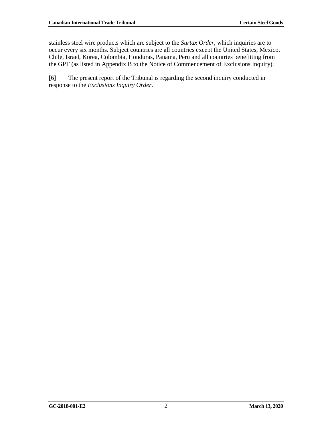stainless steel wire products which are subject to the *Surtax Order*, which inquiries are to occur every six months. Subject countries are all countries except the United States, Mexico, Chile, Israel, Korea, Colombia, Honduras, Panama, Peru and all countries benefitting from the GPT (as listed in Appendix B to the Notice of Commencement of Exclusions Inquiry).

[6] The present report of the Tribunal is regarding the second inquiry conducted in response to the *Exclusions Inquiry Order*.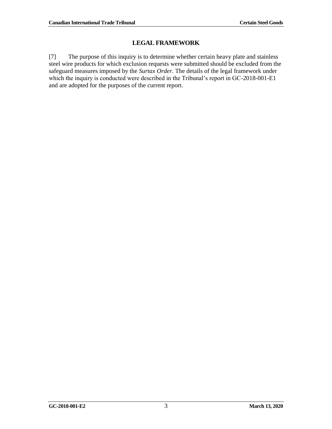## **LEGAL FRAMEWORK**

<span id="page-10-0"></span>[7] The purpose of this inquiry is to determine whether certain heavy plate and stainless steel wire products for which exclusion requests were submitted should be excluded from the safeguard measures imposed by the *Surtax Order*. The details of the legal framework under which the inquiry is conducted were described in the Tribunal's report in GC-2018-001-E1 and are adopted for the purposes of the current report.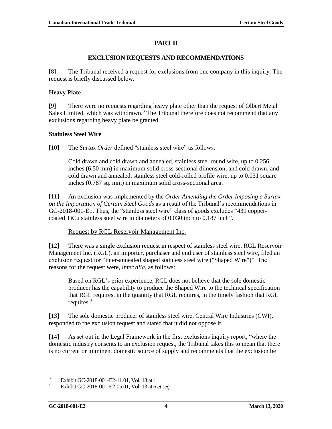#### **PART II**

#### **EXCLUSION REQUESTS AND RECOMMENDATIONS**

<span id="page-11-0"></span>[8] The Tribunal received a request for exclusions from one company in this inquiry. The request is briefly discussed below.

#### <span id="page-11-1"></span>**Heavy Plate**

[9] There were no requests regarding heavy plate other than the request of Olbert Metal Sales Limited, which was withdrawn.<sup>3</sup> The Tribunal therefore does not recommend that any exclusions regarding heavy plate be granted.

#### <span id="page-11-2"></span>**Stainless Steel Wire**

[10] The *Surtax Order* defined "stainless steel wire" as follows:

Cold drawn and cold drawn and annealed, stainless steel round wire, up to 0.256 inches (6.50 mm) in maximum solid cross-sectional dimension; and cold drawn, and cold drawn and annealed, stainless steel cold-rolled profile wire, up to 0.031 square inches (0.787 sq. mm) in maximum solid cross-sectional area.

[11] An exclusion was implemented by the *Order Amending the Order Imposing a Surtax on the Importation of Certain Steel Goods* as a result of the Tribunal's recommendations in GC-2018-001-E1. Thus, the "stainless steel wire" class of goods excludes "439 coppercoated TiCu stainless steel wire in diameters of 0.030 inch to 0.187 inch".

#### Request by RGL Reservoir Management Inc.

[12] There was a single exclusion request in respect of stainless steel wire. RGL Reservoir Management Inc. (RGL), an importer, purchaser and end user of stainless steel wire, filed an exclusion request for "inter-annealed shaped stainless steel wire ("Shaped Wire")". The reasons for the request were, *inter alia*, as follows:

Based on RGL's prior experience, RGL does not believe that the sole domestic producer has the capability to produce the Shaped Wire to the technical specification that RGL requires, in the quantity that RGL requires, in the timely fashion that RGL requires. 4

[13] The sole domestic producer of stainless steel wire, Central Wire Industries (CWI), responded to the exclusion request and stated that it did not oppose it.

[14] As set out in the Legal Framework in the first exclusions inquiry report, "where the domestic industry consents to an exclusion request, the Tribunal takes this to mean that there is no current or imminent domestic source of supply and recommends that the exclusion be

 $\frac{1}{3}$ Exhibit GC-2018-001-E2-11.01, Vol. 13 at 1.

<sup>4</sup> Exhibit GC-2018-001-E2-05.01, Vol. 13 at 6 *et seq*.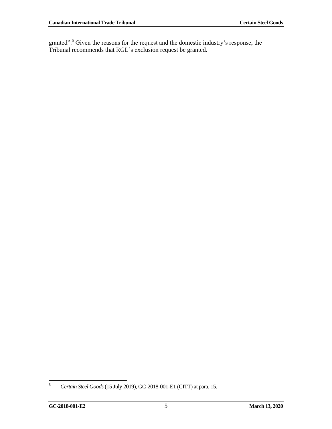granted".<sup>5</sup> Given the reasons for the request and the domestic industry's response, the Tribunal recommends that RGL's exclusion request be granted.

 $\sqrt{5}$ <sup>5</sup> *Certain Steel Goods*(15 July 2019), GC-2018-001-E1 (CITT) at para. 15.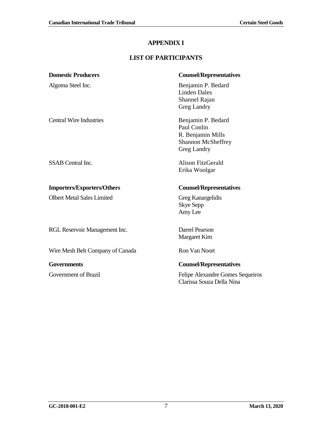## **APPENDIX I**

## **LIST OF PARTICIPANTS**

<span id="page-14-0"></span>

| <b>Domestic Producers</b>         | <b>Counsel/Representatives</b>                                                              |
|-----------------------------------|---------------------------------------------------------------------------------------------|
| Algoma Steel Inc.                 | Benjamin P. Bedard<br><b>Linden Dales</b><br>Shannel Rajan<br>Greg Landry                   |
| <b>Central Wire Industries</b>    | Benjamin P. Bedard<br>Paul Conlin<br>R. Benjamin Mills<br>Shannon McSheffrey<br>Greg Landry |
| <b>SSAB</b> Central Inc.          | Alison FitzGerald<br>Erika Woolgar                                                          |
| <b>Importers/Exporters/Others</b> | <b>Counsel/Representatives</b>                                                              |
| <b>Olbert Metal Sales Limited</b> | Greg Kanargelidis<br><b>Skye Sepp</b><br>Amy Lee                                            |
| RGL Reservoir Management Inc.     | Darrel Pearson<br>Margaret Kim                                                              |
| Wire Mesh Belt Company of Canada  | <b>Ron Van Noort</b>                                                                        |
| <b>Governments</b>                | <b>Counsel/Representatives</b>                                                              |
| Government of Brazil              | Felipe Alexandre Gomes Sequeiros<br>Clarissa Souza Della Nina                               |